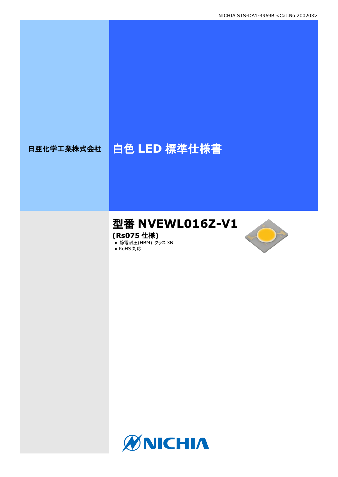# 日亜化学工業株式会社 | 白色 LED 標準仕様書

# 型番 **NVEWL016Z-V1**

**(Rs075** 仕様**)**

**● 静電耐圧(HBM) クラス 3B** 





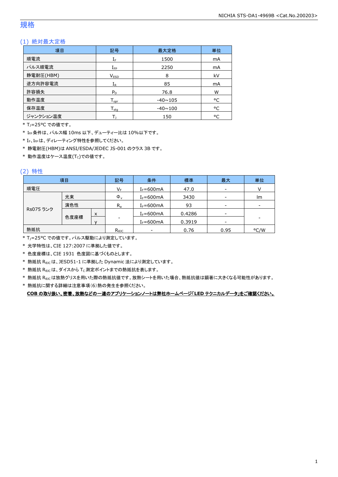### 規格

### (1) 絶対最大定格

| 項目        | 記号                           | 最大定格           | 単位 |
|-----------|------------------------------|----------------|----|
| 順電流       | $\mathrm{I}_\mathrm{F}$      | 1500           | mA |
| パルス順電流    | $I_{\text{FP}}$              | 2250           |    |
| 静電耐圧(HBM) | V <sub>ESD</sub>             | 8              | kV |
| 逆方向許容電流   | $I_{R}$                      | 85             | mA |
| 許容損失      | $P_D$                        | 76.8           | W  |
| 動作温度      | ${\mathsf T}_{\textsf{opr}}$ | $-40 \sim 105$ | °C |
| 保存温度      | ${\mathsf T}_{\textsf{stg}}$ | $-40 \sim 100$ | °C |
| ジャンクション温度 |                              | 150            | ۰c |

\* TJ=25°C での値です。

\* IFP条件は、パルス幅 10ms 以下、デューティー比は 10%以下です。

\* IF、IFPは、ディレーティング特性を参照してください。

\* 静電耐圧(HBM)は ANSI/ESDA/JEDEC JS-001 のクラス 3B です。

 $*$ 動作温度はケース温度(Tc)での値です。

### (2) 特性

|           | 項目  |              | 記号             | 条件            | 標準     | 最大                       | 単位                       |
|-----------|-----|--------------|----------------|---------------|--------|--------------------------|--------------------------|
| 順電圧       |     |              | $V_F$          | $I_F = 600mA$ | 47.0   | $\overline{\phantom{a}}$ |                          |
|           | 光束  |              | $\Phi_{\rm v}$ | $I_F = 600mA$ | 3430   | $\overline{\phantom{a}}$ | lm                       |
|           | 演色性 |              | $R_{a}$        | $I_F = 600mA$ | 93     | $\overline{\phantom{a}}$ | $\overline{\phantom{a}}$ |
| Rs075 ランク |     | X            |                | $I_F = 600mA$ | 0.4286 | $\overline{\phantom{a}}$ |                          |
| 色度座標      |     | $\mathbf{v}$ | -              | $I_F = 600mA$ | 0.3919 | $\overline{\phantom{a}}$ | ۰                        |
| 熱抵抗       |     |              | $R_{\theta$ JC | -             | 0.76   | 0.95                     | °C/W                     |

\* TJ=25°C での値です。パルス駆動により測定しています。

\* 光学特性は、CIE 127:2007 に準拠した値です。

\* 色度座標は、CIE 1931 色度図に基づくものとします。

\* 熱抵抗 RθJCは、JESD51-1 に準拠した Dynamic 法により測定しています。

 $*$  熱抵抗  $R_{\rm \theta JC}$ は、ダイスから Tc 測定ポイントまでの熱抵抗を表します。

\* 熱抵抗 R<sub>9JC</sub>は放熱グリスを用いた際の熱抵抗値です。放熱シートを用いた場合、熱抵抗値は顕著に大きくなる可能性があります。

\* 熱抵抗に関する詳細は注意事項(6)熱の発生を参照ください。

**COB** の取り扱い、密着、放熱などの一連のアプリケーションノートは弊社ホームページ「**LED** テクニカルデータ」をご確認ください。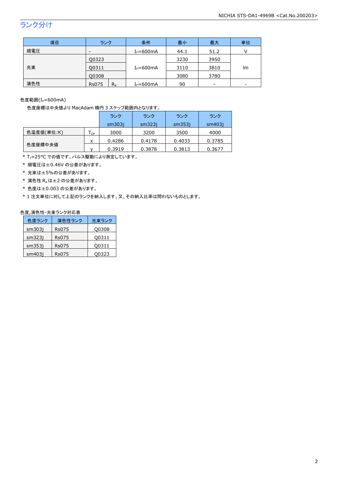# ランク分け

| 項目  | ランク                      | 条件            | 最小   | 最大   | 単位              |
|-----|--------------------------|---------------|------|------|-----------------|
| 順電圧 | $\overline{\phantom{0}}$ | $I_F = 600mA$ | 44.1 | 51.2 |                 |
|     | Q0323                    |               | 3230 | 3950 |                 |
| 光束  | 00311                    | $I_F = 600mA$ | 3110 | 3810 | lm.             |
|     | Q0308                    |               | 3080 | 3780 |                 |
| 演色性 | $R_{a}$<br><b>Rs075</b>  | $I_F = 600mA$ | 90   | -    | $\qquad \qquad$ |

色度範囲(I<sub>F</sub>=600mA)

### 色度座標は中央値より MacAdam 楕円 3 ステップ範囲内となります。

|            |    | ランク    | ランク    | ランク    | ランク    |
|------------|----|--------|--------|--------|--------|
|            |    | sm3031 | sm323i | sm353i | sm403i |
| 色温度値(単位:K) | CP | 3000   | 3200   | 3500   | 4000   |
|            | x  | 0.4286 | 0.4178 | 0.4033 | 0.3785 |
| 色度座標中央値    |    | 0.3919 | 0.3878 | 0.3813 | 0.3677 |

\* T<sub>J</sub>=25°C での値です。パルス駆動により測定しています。

\* 順電圧は±0.46V の公差があります。

\* 光束は±5%の公差があります。

 $*$  演色性  $R_a$ は±2 の公差があります。

\* 色度は±0.003 の公差があります。

\* 1 注文単位に対して上記のランクを納入します。又、その納入比率は問わないものとします。

#### 色度,演色性-光束ランク対応表

| 色度ランク  | 演色性ランク | 光東ランク |
|--------|--------|-------|
| sm303i | Rs075  | Q0308 |
| sm323i | Rs075  | Q0311 |
| sm353i | Rs075  | Q0311 |
| sm403i | Rs075  | 00323 |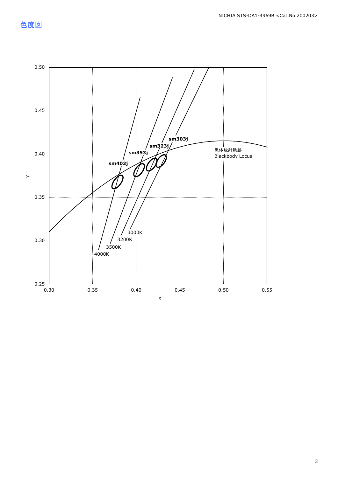色度図

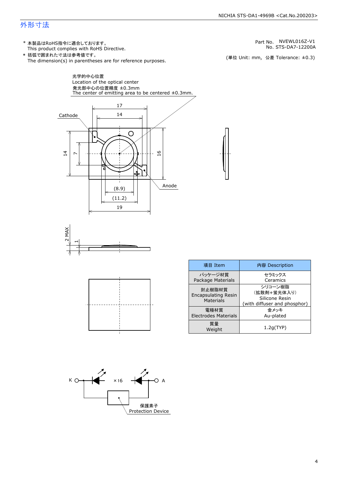#### NICHIA STS-DA1-4969B <Cat.No.200203>

### 外形寸法

(単位 Unit: mm) This product complies with RoHS Directive. \* 本製品はRoHS指令に適合しております。 (単位 Unit: mm, 公差 Tolerance: ±0.3) STS-DA7-12200A NVEWL016Z-V1 The dimension(s) in parentheses are for reference purposes. \* 括弧で囲まれた寸法は参考値です。 No. Part No.







| 項目 Item                                           | 内容 Description                                                           |
|---------------------------------------------------|--------------------------------------------------------------------------|
| パッケージ材質<br>Package Materials                      | セラミックス<br>Ceramics                                                       |
| 封止樹脂材質<br><b>Encapsulating Resin</b><br>Materials | シリコーン樹脂<br>(拡散剤+蛍光体入り)<br>Silicone Resin<br>(with diffuser and phosphor) |
| 雷極材質<br><b>Electrodes Materials</b>               | 金メッキ<br>Au-plated                                                        |
| 質量<br>Weight                                      | 1.2q(TYP)                                                                |

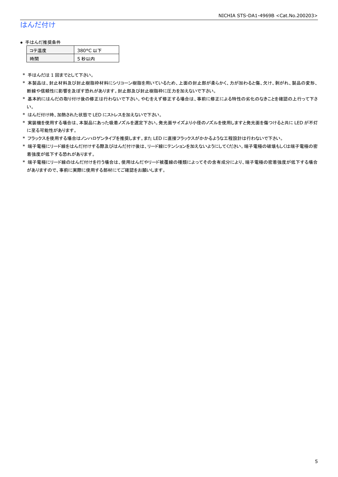# はんだ付け

### ● 手はんだ推奨条件

| →"烏庫」 | 380°C 以下 |
|-------|----------|
| .間    | 5 秒以内    |

\* 手はんだは 1 回までとして下さい。

- \* 本製品は、封止材料及び封止樹脂枠材料にシリコーン樹脂を用いているため、上面の封止部が柔らかく、力が加わると傷、欠け、剥がれ、製品の変形、 断線や信頼性に影響を及ぼす恐れがあります。封止部及び封止樹脂枠に圧力を加えないで下さい。
- \* 基本的にはんだの取り付け後の修正は行わないで下さい。やむをえず修正する場合は、事前に修正による特性の劣化のなきことを確認の上行って下さ い。
- \* はんだ付け時、加熱された状態で LED にストレスを加えないで下さい。
- \* 実装機を使用する場合は、本製品にあった吸着ノズルを選定下さい。発光面サイズより小径のノズルを使用しますと発光面を傷つけると共に LED が不灯 に至る可能性があります。
- \* フラックスを使用する場合はノンハロゲンタイプを推奨します。また LED に直接フラックスがかかるような工程設計は行わないで下さい。
- \* 端子電極にリード線をはんだ付けする際及びはんだ付け後は、リード線にテンションを加えないようにしてください。端子電極の破壊もしくは端子電極の密 着強度が低下する恐れがあります。
- \* 端子電極にリード線のはんだ付けを行う場合は、使用はんだやリード被覆線の種類によってその含有成分により、端子電極の密着強度が低下する場合 がありますので、事前に実際に使用する部材にてご確認をお願いします。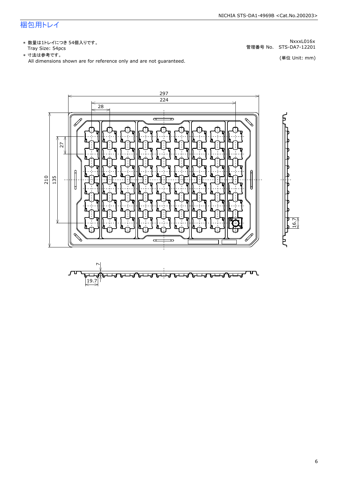# 梱包用トレイ

\* 数量は1トレイにつき 54個入りです。<br>Tray Size: 54pcs

\* 数量は1トレイにつき 54個入りです。<br>Tray Size: 54pcs<br>\* 寸法は参考です。<br>All dimensions shown are for reference only and are not guaranteed. \* づ法は参考です。



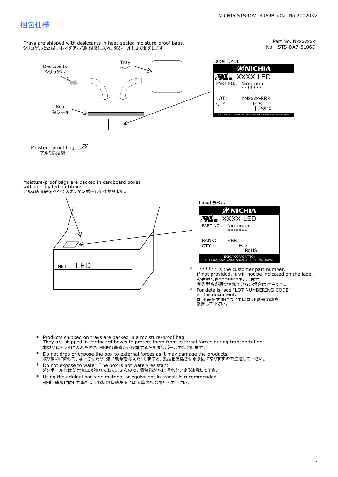Part No. Nxxxxxxx<br>No. STS-DA7-5106D

### 梱包仕様

Trays are shipped with desiccants in heat-sealed moisture-proof bags. シリカゲルとともにトレイをアルミ防湿袋に入れ、熱シールにより封をします。



Label ラベル  $\mathscr{U}$ NICHIA  $\begin{array}{lll} \text{cN}_{\text{us}} & \text{XXXX} & \text{LED} \\ \text{part no.:} & \text{Nxxxxxxx} \\ \text{LOT:} & \text{YMxxxx-RRR} \\ \text{QTY.:} & & \text{PCS} \\ \hline & \text{ROHS} \end{array}$ NICHIA CORPORATION <sup>491</sup> OKA, KAMINAKA, ANAN, TOKUSHIMA, JAPAN LOT: QTY.: YMxxxx-RRR PCS PART NO.:

Moisture-proof bags are packed in cardboard boxes with corrugated partitions. アルミ防湿袋を並べて入れ、ダンボールで仕切ります。





- \* \*\*\*\*\*\*\* is the customer part number.<br>If not provided, it will not be indicated on the label.<br>客先型名が設定されていない場合は空白です。
- For details, see "LOT NUMBERING CODE"<br>in this document.<br>ロット表記方法についてはロット番号の項を<br>参照して下さい。
- \* Products shipped on trays are packed in a moisture-proof bag.<br>They are shipped in cardboard boxes to protect them from external forces during transportation.<br>本製品はトレイに入れたのち、輸送の衝撃から保護するためダンボールで梱包します。<br>\* Do not drop or exp 本製品はトレイに入れたのち、輸送の衝撃から保護するためダンボールで梱包します。
- Do not drop or expose the box to external forces as it may damage the products. \*
- 取り扱いに際して、落下させたり、強い衝撃を与えたりしますと、製品を損傷させる原因になりますので注意して下さい。 Do not expose to water. The box is not water-resistant. \*
- ダンボールには防水加工がされておりませんので、梱包箱が水に濡れないよう注意して下さい。 \*
- 輸送、運搬に際して弊社よりの梱包状態あるいは同等の梱包を行って下さい。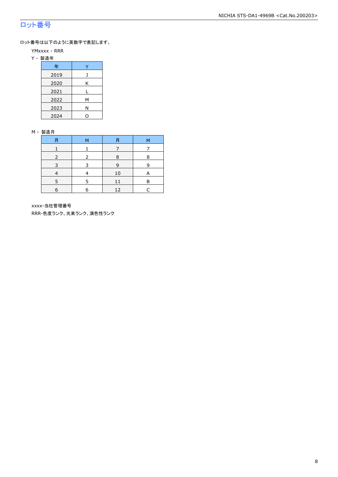## ロット番号

ロット番号は以下のように英数字で表記します。

- YMxxxx RRR
- Y 製造年

| 年    |   |  |  |  |
|------|---|--|--|--|
| 2019 |   |  |  |  |
| 2020 | Κ |  |  |  |
| 2021 |   |  |  |  |
| 2022 | м |  |  |  |
| 2023 | Ν |  |  |  |
| 2024 |   |  |  |  |

#### M - 製造月

| 月 | м | 月  | м |
|---|---|----|---|
|   |   |    |   |
|   |   | 8  | 8 |
| ∍ |   | 9  | q |
|   |   | 10 | A |
|   |   |    | P |
| 6 |   | 12 |   |

xxxx-当社管理番号

RRR-色度ランク、光束ランク、演色性ランク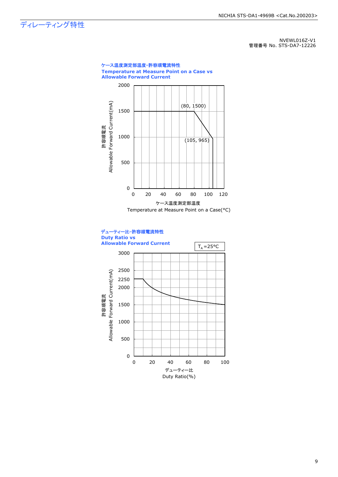ディレーティング特性

NVEWL016Z-V1 管理番号 No. STS-DA7-12226



9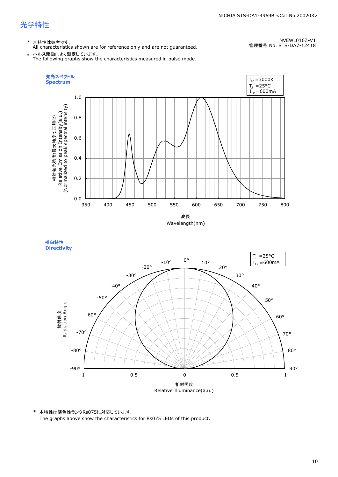### 光学特性

### \* 本特性は参考です。

All characteristics shown are for reference only and are not guaranteed.

NVEWL016Z-V1 管理番号 No. STS-DA7-12418

 $\;* \;$  パルス駆動により測定しています。<br>The following graphs show the characteristics measured in pulse mode.



指向特性 **Directivity** 



\* 本特性は演色性ランクRs075に対応しています。 The graphs above show the characteristics for Rs075 LEDs of this product.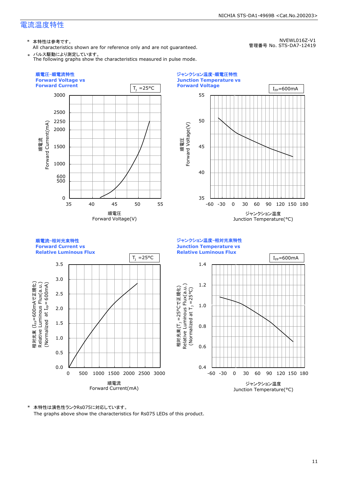### 電流温度特性

\* 本特性は参考です。

All characteristics shown are for reference only and are not guaranteed. \* パルス駆動により測定しています。

The following graphs show the characteristics measured in pulse mode.

NICHIA STS-DA1-4969B <Cat.No.200203>

NVEWL016Z-V1

管理番号 No. STS-DA7-12419



\* 本特性は演色性ランクRs075に対応しています。 The graphs above show the characteristics for Rs075 LEDs of this product.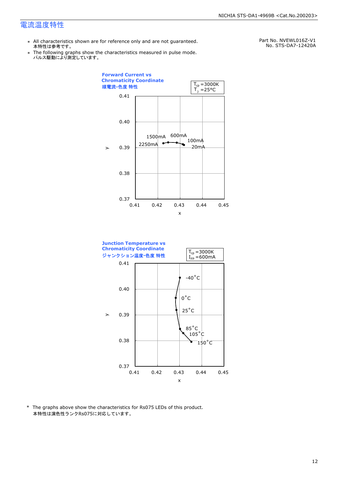### 電流温度特性

- \* All characteristics shown are for reference only and are not guaranteed. 本特性は参考です。
- \* Ine following graphs show th<br>、パルス駆動により測定しています。 The following graphs show the characteristics measured in pulse mode.

Part No. NVEWL016Z-V1 No. STS-DA7-12420A





\* The graphs above show the characteristics for Rs075 LEDs of this product. 本特性は演色性ランクRs075に対応しています。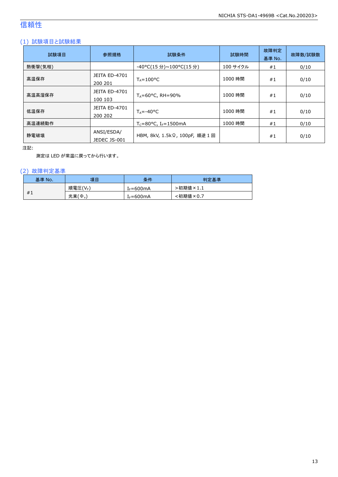# 信頼性

### (1) 試験項目と試験結果

| 試験項目    | 参照規格                            | 試験条件                                    | 試験時間     | 故障判定<br>基準 No. | 故障数/試験数 |
|---------|---------------------------------|-----------------------------------------|----------|----------------|---------|
| 熱衝撃(気相) |                                 | -40°C(15 分)~100°C(15 分)                 | 100 サイクル | #1             | 0/10    |
| 高温保存    | <b>JEITA ED-4701</b><br>200 201 | $T_A = 100^{\circ}C$                    | 1000 時間  | #1             | 0/10    |
| 高温高湿保存  | <b>JEITA ED-4701</b><br>100 103 | $T_A = 60^{\circ}$ C, RH = 90%          | 1000 時間  | #1             | 0/10    |
| 低温保存    | JEITA ED-4701<br>200 202        | $T_{\text{A}} = -40^{\circ}C$           | 1000 時間  | #1             | 0/10    |
| 高温連続動作  |                                 | $T_c = 80$ °C, I <sub>F</sub> = 1500 mA | 1000 時間  | #1             | 0/10    |
| 静電破壊    | ANSI/ESDA/<br>JEDEC JS-001      | HBM, 8kV, 1.5kΩ, 100pF, 順逆 1回           |          | #1             | 0/10    |

注記:

測定は LED が常温に戻ってから行います。

### (2) 故障判定基準

| 基準 No. | 項目              | 条件                    | 判定基準     |
|--------|-----------------|-----------------------|----------|
|        | 順電圧(VF)         | [ <sub>F</sub> =600mA | 、初期値×1.1 |
| #1     | 光束 $(\Phi_{v})$ | $f_F = 600 \text{mA}$ | :初期値×0.7 |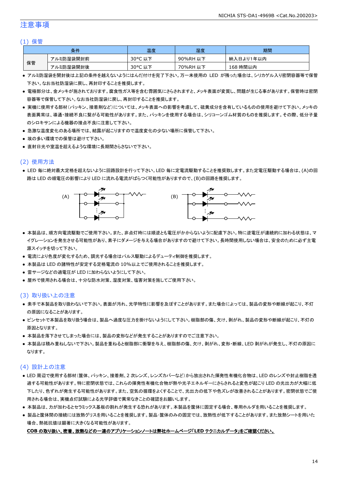### 注意事項

### (1) 保管

|    | 条件        | 温度         | 湿度       | 期間        |
|----|-----------|------------|----------|-----------|
|    | アルミ防湿袋開封前 | 30°C<br>以下 | 90%RH 以下 | 納入日より1年以内 |
| 保管 | アルミ防湿袋開封後 | 30°C 以下    | 70%RH 以下 | 168 時間以内  |

- アルミ防湿袋を開封後は上記の条件を越えないようにはんだ付けを完了下さい。万一未使用の LED が残った場合は、シリカゲル入り密閉容器等で保管 下さい。なお当社防湿袋に戻し、再封印することを推奨します。
- 電極部分は、金メッキが施されております。腐食性ガス等を含む雰囲気にさらされますと、メッキ表面が変質し、問題が生じる事があります。保管時は密閉 容器等で保管して下さい。なお当社防湿袋に戻し、再封印することを推奨します。
- 実機に使用する部材(パッキン、接着剤など)については、メッキ表面への影響を考慮して、硫黄成分を含有しているものの使用を避けて下さい。メッキの 表面異常は、導通・接続不良に繋がる可能性があります。また、パッキンを使用する場合は、シリコーンゴム材質のものを推奨します。その際、低分子量 のシロキサンによる機器の接点不良に注意して下さい。
- 急激な温度変化のある場所では、結露が起こりますので温度変化の少ない場所に保管して下さい。
- 埃の多い環境での保管は避けて下さい。
- 直射日光や室温を超えるような環境に長期間さらさないで下さい。

### (2) 使用方法

● LED 毎に絶対最大定格を超えないように回路設計を行って下さい。LED 毎に定電流駆動することを推奨致します。また定電圧駆動する場合は、(A)の回 路は LED の順電圧の影響により LED に流れる電流がばらつく可能性がありますので、(B)の回路を推奨します。



- 本製品は、順方向電流駆動でご使用下さい。また、非点灯時には順逆とも電圧がかからないように配慮下さい。特に逆電圧が連続的に加わる状態は、マ イグレーションを発生させる可能性があり、素子にダメージを与える場合がありますので避けて下さい。長時間使用しない場合は、安全のために必ず主電 源スイッチを切って下さい。
- 電流により色度が変化するため、調光する場合はパルス駆動によるデューティ制御を推奨します。
- 本製品は LED の諸特性が安定する定格電流の 10%以上でご使用されることを推奨します。
- 雷サージなどの過電圧が LED に加わらないようにして下さい。
- 屋外で使用される場合は、十分な防水対策、湿度対策、塩害対策を施してご使用下さい。

### (3) 取り扱い上の注意

- 素手で本製品を取り扱わないで下さい。表面が汚れ、光学特性に影響を及ぼすことがあります。また場合によっては、製品の変形や断線が起こり、不灯 の原因になることがあります。
- ピンセットで本製品を取り扱う場合は、製品へ過度な圧力を掛けないようにして下さい。樹脂部の傷、欠け、剥がれ、製品の変形や断線が起こり、不灯の 原因となります。
- 本製品を落下させてしまった場合には、製品の変形などが発生することがありますのでご注意下さい。
- 本製品は積み重ねしないで下さい。製品を重ねると樹脂部に衝撃を与え、樹脂部の傷、欠け、剥がれ、変形・断線、LED 剥がれが発生し、不灯の原因に なります。

### (4) 設計上の注意

- LED 周辺で使用する部材(筐体、パッキン、接着剤、2 次レンズ、レンズカバーなど)から放出された揮発性有機化合物は、LED のレンズや封止樹脂を透 過する可能性があります。特に密閉状態では、これらの揮発性有機化合物が熱や光子エネルギーにさらされると変色が起こり LED の光出力が大幅に低 下したり、色ずれが発生する可能性があります。また、空気の循環をよくすることで、光出力の低下や色ズレが改善されることがあります。密閉状態でご使 用される場合は、実機点灯試験による光学評価で異常なきことの確認をお願いします。
- 本製品は、カが加わるとセラミックス基板の割れが発生する恐れがあります。本製品を筐体に固定する場合、専用ホルダを用いることを推奨します。
- 製品と筐体間の接続には放熱グリスを用いることを推奨します。製品・筐体のみの固定では、放熱性が低下することがあります。また放熱シートを用いた 場合、熱抵抗値は顕著に大きくなる可能性があります。

#### **COB** の取り扱い、密着、放熱などの一連のアプリケーションノートは弊社ホームページ「**LED** テクニカルデータ」をご確認ください。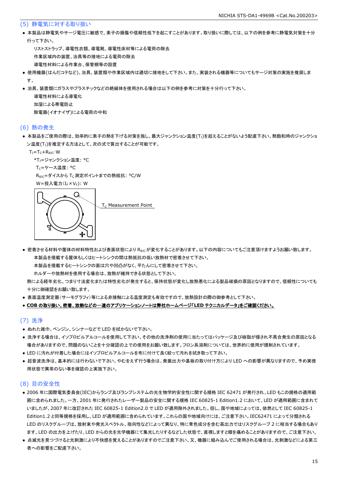### (5) 静電気に対する取り扱い

● 本製品は静電気やサージ電圧に敏感で、素子の損傷や信頼性低下を起こすことがあります。取り扱いに際しては、以下の例を参考に静電気対策を十分 行って下さい。

 リストストラップ、導電性衣類、導電靴、導電性床材等による電荷の除去 作業区域内の装置、治具等の接地による電荷の除去 導電性材料による作業台、保管棚等の設置

- 使用機器(はんだコテなど)、治具、装置類や作業区域内は適切に接地をして下さい。また、実装される機器等についてもサージ対策の実施を推奨しま す。
- 治具、装置類にガラスやプラスチックなどの絶縁体を使用される場合は以下の例を参考に対策を十分行って下さい。

 導電性材料による導電化 加湿による帯電防止 除電器(イオナイザ)による電荷の中和

### (6) 熱の発生

● 本製品をご使用の際は、効率的に素子の熱を下げる対策を施し、最大ジャンクション温度(T」)を超えることがないよう配慮下さい。熱飽和時のジャンクショ ン温度(T」)を推定する方法として、次の式で算出することが可能です。

 $T_J = T_C + R_{\theta JC} \cdot W$ 

```
*T<sub>1</sub>=ジャンクション温度: °C
```
Tc=ケース温度: °C

R<sub>0JC</sub>=ダイスから T<sub>C</sub> 測定ポイントまでの熱抵抗: °C/W

W=投入電力(I<sub>F</sub>×V<sub>F</sub>): W



● 密着させる材料や筐体の材料特性および表面状態により Reicが変化することがあります。以下の内容についてもご注意頂けますようお願い致します。 本製品を搭載する筐体もしくはヒートシンクの間は熱抵抗の低い放熱材で密着させて下さい。

本製品を搭載するヒートシンクの面は穴や凹凸がなく、平たんにして密着させて下さい。

ホルダーや放熱材を使用する場合は、放熱が維持できる状態として下さい。

 熱による経年劣化、つまり寸法変化または特性劣化が発生すると、保持状態が変化し放熱悪化による製品破損の原因となりますので、信頼性についても 十分に御確認をお願い致します。

● 表面温度測定器(サーモグラフィ)等による非接触による温度測定も有効ですので、放熱設計の際の御参考として下さい。

#### ● **COB** の取り扱い、密着、放熱などの一連のアプリケーションノートは弊社ホームページ「**LED** テクニカルデータ」をご確認ください。

### (7) 洗浄

- ぬれた雑巾、ベンジン、シンナーなどで LED を拭かないで下さい。
- 洗浄する場合は、イソプロピルアルコールを使用して下さい。その他の洗浄剤の使用に当たってはパッケージ及び樹脂が侵され不具合発生の原因となる 場合がありますので、問題のないことを十分確認の上での使用をお願い致します。フロン系溶剤については、世界的に使用が規制されています。
- LED に汚れが付着した場合にはイソプロピルアルコールを布に付けて良く絞って汚れを拭き取って下さい。
- 超音波洗浄は、基本的には行わないで下さい。やむをえず行う場合は、発振出力や基板の取り付け方により LED への影響が異なりますので、予め実使 用状態で異常のない事を確認の上実施下さい。

### (8) 目の安全性

- 2006 年に国際電気委員会(IEC)からランプ及びランプシステムの光生物学的安全性に関する規格 IEC 62471 が発行され、LED もこの規格の適用範 囲に含められました。一方、2001 年に発行されたレーザー製品の安全に関する規格 IEC 60825-1 Edition1.2 において、LED が適用範囲に含まれて いましたが、2007 年に改訂された IEC 60825-1 Edition2.0 で LED が適用除外されました。但し、国や地域によっては、依然として IEC 60825-1 Edition1.2 と同等規格を採用し、LED が適用範囲に含められています。これらの国や地域向けには、ご注意下さい。IEC62471 によって分類される LED のリスクグループは、放射束や発光スペクトル、指向性などによって異なり、特に青色成分を含む高出力ではリスクグループ 2 に相当する場合もあり ます。LED の出力を上げたり、LED からの光を光学機器にて集光したりするなどした状態で、直視しますと眼を痛めることがありますので、ご注意下さい。
- 点滅光を見つづけると光刺激により不快感を覚えることがありますのでご注意下さい。又、機器に組み込んでご使用される場合は、光刺激などによる第三 者への影響をご配慮下さい。